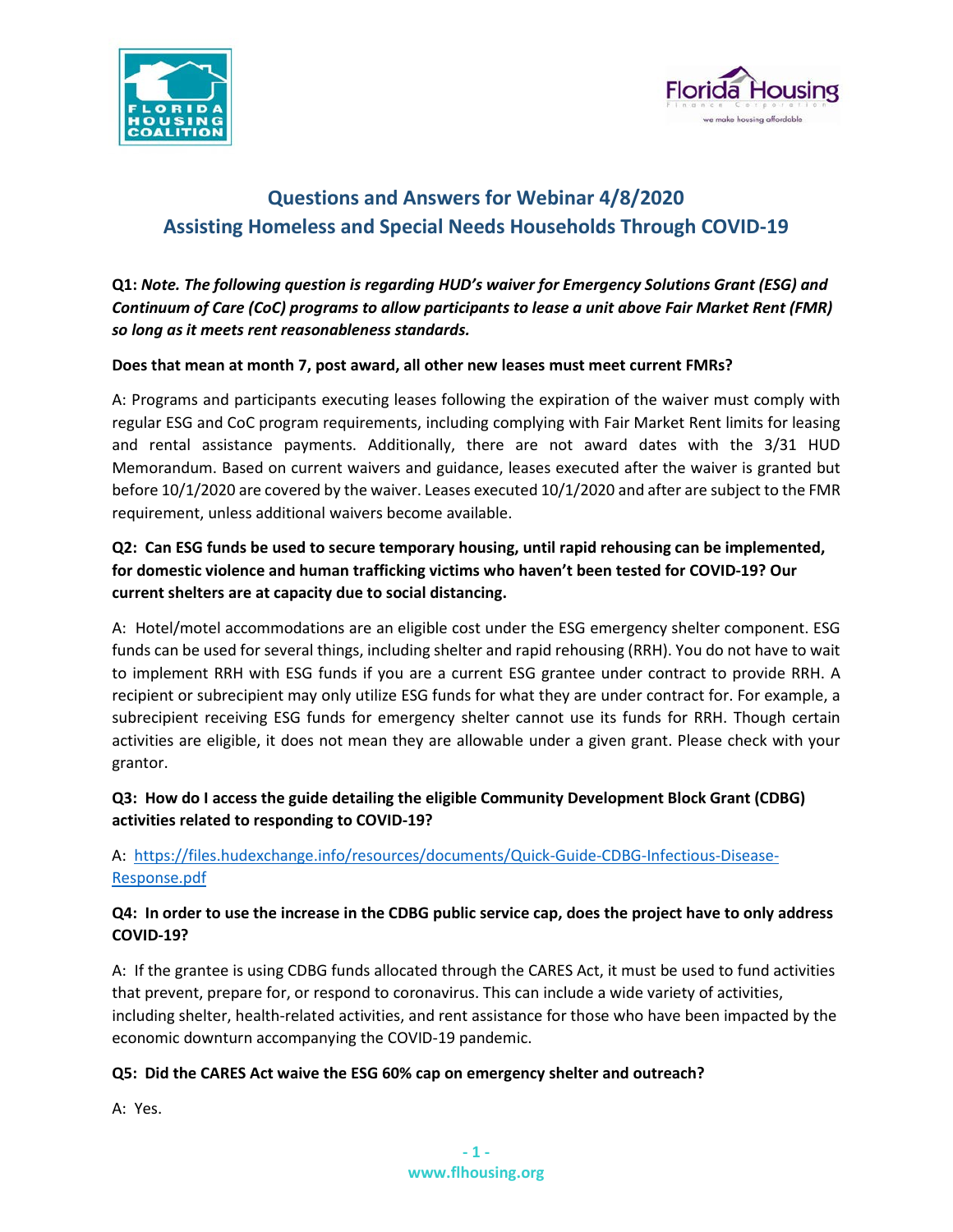



# **Questions and Answers for Webinar 4/8/2020 Assisting Homeless and Special Needs Households Through COVID-19**

**Q1:** *Note. The following question is regarding HUD's waiver for Emergency Solutions Grant (ESG) and Continuum of Care (CoC) programs to allow participants to lease a unit above Fair Market Rent (FMR) so long as it meets rent reasonableness standards.*

#### **Does that mean at month 7, post award, all other new leases must meet current FMRs?**

A: Programs and participants executing leases following the expiration of the waiver must comply with regular ESG and CoC program requirements, including complying with Fair Market Rent limits for leasing and rental assistance payments. Additionally, there are not award dates with the 3/31 HUD Memorandum. Based on current waivers and guidance, leases executed after the waiver is granted but before 10/1/2020 are covered by the waiver. Leases executed 10/1/2020 and after are subject to the FMR requirement, unless additional waivers become available.

# **Q2: Can ESG funds be used to secure temporary housing, until rapid rehousing can be implemented, for domestic violence and human trafficking victims who haven't been tested for COVID-19? Our current shelters are at capacity due to social distancing.**

A: Hotel/motel accommodations are an eligible cost under the ESG emergency shelter component. ESG funds can be used for several things, including shelter and rapid rehousing (RRH). You do not have to wait to implement RRH with ESG funds if you are a current ESG grantee under contract to provide RRH. A recipient or subrecipient may only utilize ESG funds for what they are under contract for. For example, a subrecipient receiving ESG funds for emergency shelter cannot use its funds for RRH. Though certain activities are eligible, it does not mean they are allowable under a given grant. Please check with your grantor.

#### **Q3: How do I access the guide detailing the eligible Community Development Block Grant (CDBG) activities related to responding to COVID-19?**

# A: [https://files.hudexchange.info/resources/documents/Quick-Guide-CDBG-Infectious-Disease-](https://files.hudexchange.info/resources/documents/Quick-Guide-CDBG-Infectious-Disease-Response.pdf)[Response.pdf](https://files.hudexchange.info/resources/documents/Quick-Guide-CDBG-Infectious-Disease-Response.pdf)

# **Q4: In order to use the increase in the CDBG public service cap, does the project have to only address COVID-19?**

A: If the grantee is using CDBG funds allocated through the CARES Act, it must be used to fund activities that prevent, prepare for, or respond to coronavirus. This can include a wide variety of activities, including shelter, health-related activities, and rent assistance for those who have been impacted by the economic downturn accompanying the COVID-19 pandemic.

#### **Q5: Did the CARES Act waive the ESG 60% cap on emergency shelter and outreach?**

A: Yes.